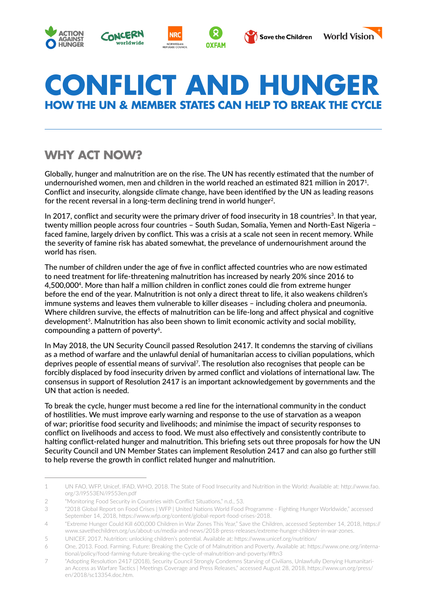









# **CONFLICT AND HUNGER HOW THE UN & MEMBER STATES CAN HELP TO BREAK THE CYCLE**

# **WHY ACT NOW?**

Globally, hunger and malnutrition are on the rise. The UN has recently estimated that the number of undernourished women, men and children in the world reached an estimated 821 million in 20171. Conflict and insecurity, alongside climate change, have been identified by the UN as leading reasons for the recent reversal in a long-term declining trend in world hunger<sup>2</sup>.

In 2017, conflict and security were the primary driver of food insecurity in 18 countries<sup>3</sup>. In that year, twenty million people across four countries – South Sudan, Somalia, Yemen and North-East Nigeria – faced famine, largely driven by conflict. This was a crisis at a scale not seen in recent memory. While the severity of famine risk has abated somewhat, the prevelance of undernourishment around the world has risen.

The number of children under the age of five in conflict affected countries who are now estimated to need treatment for life-threatening malnutrition has increased by nearly 20% since 2016 to 4,500,0004. More than half a million children in conflict zones could die from extreme hunger before the end of the year. Malnutrition is not only a direct threat to life, it also weakens children's immune systems and leaves them vulnerable to killer diseases – including cholera and pneumonia. Where children survive, the effects of malnutrition can be life-long and affect physical and cognitive development<sup>5</sup>. Malnutrition has also been shown to limit economic activity and social mobility, compounding a pattern of poverty<sup>6</sup>.

In May 2018, the UN Security Council passed Resolution 2417. It condemns the starving of civilians as a method of warfare and the unlawful denial of humanitarian access to civilian populations, which deprives people of essential means of survival7. The resolution also recognises that people can be forcibly displaced by food insecurity driven by armed conflict and violations of international law. The consensus in support of Resolution 2417 is an important acknowledgement by governments and the UN that action is needed.

To break the cycle, hunger must become a red line for the international community in the conduct of hostilities. We must improve early warning and response to the use of starvation as a weapon of war; prioritise food security and livelihoods; and minimise the impact of security responses to conflict on livelihoods and access to food. We must also effectively and consistently contribute to halting conflict-related hunger and malnutrition. This briefing sets out three proposals for how the UN Security Council and UN Member States can implement Resolution 2417 and can also go further still to help reverse the growth in conflict related hunger and malnutrition.

<sup>1</sup> UN FAO, WFP, Unicef, IFAD, WHO, 2018. The State of Food Insecurity and Nutrition in the World: Available at: http://www.fao. org/3/I9553EN/i9553en.pdf

<sup>2</sup> "Monitoring Food Security in Countries with Conflict Situations," n.d., 53.

<sup>3</sup> "2018 Global Report on Food Crises | WFP | United Nations World Food Programme - Fighting Hunger Worldwide," accessed September 14, 2018, https://www.wfp.org/content/global-report-food-crises-2018.

<sup>4</sup> "Extreme Hunger Could Kill 600,000 Children in War Zones This Year," Save the Children, accessed September 14, 2018, https:// www.savethechildren.org/us/about-us/media-and-news/2018-press-releases/extreme-hunger-children-in-war-zones.

<sup>5</sup> UNICEF, 2017. Nutrition: unlocking children's potential. Available at: https://www.unicef.org/nutrition/

<sup>6</sup> One, 2013. Food. Farming. Future: Breaking the Cycle of of Malnutrition and Poverty. Available at: https://www.one.org/international/policy/food-farming-future-breaking-the-cycle-of-malnutrition-and-poverty/#ftn3

<sup>7</sup> "Adopting Resolution 2417 (2018), Security Council Strongly Condemns Starving of Civilians, Unlawfully Denying Humanitarian Access as Warfare Tactics | Meetings Coverage and Press Releases," accessed August 28, 2018, https://www.un.org/press/ en/2018/sc13354.doc.htm.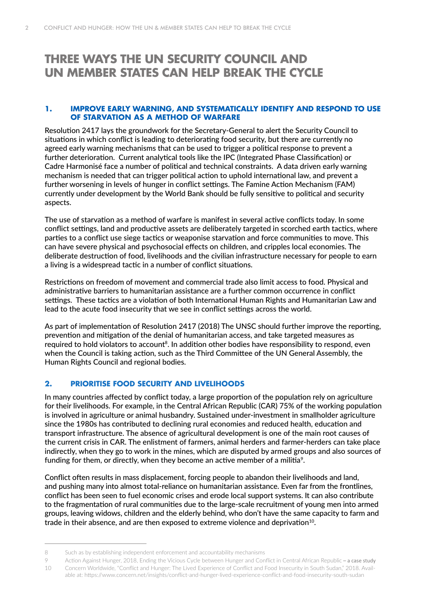### **THREE WAYS THE UN SECURITY COUNCIL AND UN MEMBER STATES CAN HELP BREAK THE CYCLE**

#### **1. IMPROVE EARLY WARNING, AND SYSTEMATICALLY IDENTIFY AND RESPOND TO USE OF STARVATION AS A METHOD OF WARFARE**

Resolution 2417 lays the groundwork for the Secretary-General to alert the Security Council to situations in which conflict is leading to deteriorating food security, but there are currently no agreed early warning mechanisms that can be used to trigger a political response to prevent a further deterioration. Current analytical tools like the IPC (Integrated Phase Classification) or Cadre Harmonisé face a number of political and technical constraints. A data driven early warning mechanism is needed that can trigger political action to uphold international law, and prevent a further worsening in levels of hunger in conflict settings. The Famine Action Mechanism (FAM) currently under development by the World Bank should be fully sensitive to political and security aspects.

The use of starvation as a method of warfare is manifest in several active conflicts today. In some conflict settings, land and productive assets are deliberately targeted in scorched earth tactics, where parties to a conflict use siege tactics or weaponise starvation and force communities to move. This can have severe physical and psychosocial effects on children, and cripples local economies. The deliberate destruction of food, livelihoods and the civilian infrastructure necessary for people to earn a living is a widespread tactic in a number of conflict situations.

Restrictions on freedom of movement and commercial trade also limit access to food. Physical and administrative barriers to humanitarian assistance are a further common occurrence in conflict settings. These tactics are a violation of both International Human Rights and Humanitarian Law and lead to the acute food insecurity that we see in conflict settings across the world.

As part of implementation of Resolution 2417 (2018) The UNSC should further improve the reporting, prevention and mitigation of the denial of humanitarian access, and take targeted measures as required to hold violators to account<sup>8</sup>. In addition other bodies have responsibility to respond, even when the Council is taking action, such as the Third Committee of the UN General Assembly, the Human Rights Council and regional bodies.

#### **2. PRIORITISE FOOD SECURITY AND LIVELIHOODS**

In many countries affected by conflict today, a large proportion of the population rely on agriculture for their livelihoods. For example, in the Central African Republic (CAR) 75% of the working population is involved in agriculture or animal husbandry. Sustained under-investment in smallholder agriculture since the 1980s has contributed to declining rural economies and reduced health, education and transport infrastructure. The absence of agricultural development is one of the main root causes of the current crisis in CAR. The enlistment of farmers, animal herders and farmer-herders can take place indirectly, when they go to work in the mines, which are disputed by armed groups and also sources of funding for them, or directly, when they become an active member of a militia<sup>9</sup>.

Conflict often results in mass displacement, forcing people to abandon their livelihoods and land, and pushing many into almost total-reliance on humanitarian assistance. Even far from the frontlines, conflict has been seen to fuel economic crises and erode local support systems. It can also contribute to the fragmentation of rural communities due to the large-scale recruitment of young men into armed groups, leaving widows, children and the elderly behind, who don't have the same capacity to farm and trade in their absence, and are then exposed to extreme violence and deprivation<sup>10</sup>.

<sup>8</sup> Such as by establishing independent enforcement and accountability mechanisms

<sup>9</sup> Action Against Hunger, 2018, Ending the Vicious Cycle between Hunger and Conflict in Central African Republic – a case study

<sup>10</sup> Concern Worldwide, "Conflict and Hunger: The Lived Experience of Conflict and Food Insecurity in South Sudan," 2018. Available at: https://www.concern.net/insights/conflict-and-hunger-lived-experience-conflict-and-food-insecurity-south-sudan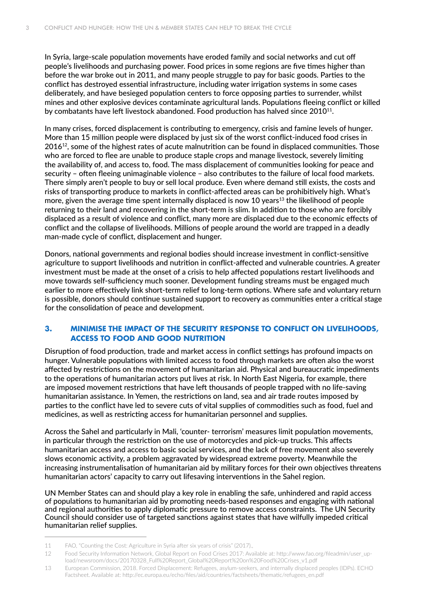In Syria, large-scale population movements have eroded family and social networks and cut off people's livelihoods and purchasing power. Food prices in some regions are five times higher than before the war broke out in 2011, and many people struggle to pay for basic goods. Parties to the conflict has destroyed essential infrastructure, including water irrigation systems in some cases deliberately, and have besieged population centers to force opposing parties to surrender, whilst mines and other explosive devices contaminate agricultural lands. Populations fleeing conflict or killed by combatants have left livestock abandoned. Food production has halved since 2010<sup>11</sup>.

In many crises, forced displacement is contributing to emergency, crisis and famine levels of hunger. More than 15 million people were displaced by just six of the worst conflict-induced food crises in  $2016^{12}$ , some of the highest rates of acute malnutrition can be found in displaced communities. Those who are forced to flee are unable to produce staple crops and manage livestock, severely limiting the availability of, and access to, food. The mass displacement of communities looking for peace and security – often fleeing unimaginable violence – also contributes to the failure of local food markets. There simply aren't people to buy or sell local produce. Even where demand still exists, the costs and risks of transporting produce to markets in conflict-affected areas can be prohibitively high. What's more, given the average time spent internally displaced is now 10 years<sup>13</sup> the likelihood of people returning to their land and recovering in the short-term is slim. In addition to those who are forcibly displaced as a result of violence and conflict, many more are displaced due to the economic effects of conflict and the collapse of livelihoods. Millions of people around the world are trapped in a deadly man-made cycle of conflict, displacement and hunger.

Donors, national governments and regional bodies should increase investment in conflict-sensitive agriculture to support livelihoods and nutrition in conflict-affected and vulnerable countries. A greater investment must be made at the onset of a crisis to help affected populations restart livelihoods and move towards self-sufficiency much sooner. Development funding streams must be engaged much earlier to more effectively link short-term relief to long-term options. Where safe and voluntary return is possible, donors should continue sustained support to recovery as communities enter a critical stage for the consolidation of peace and development.

#### **3. MINIMISE THE IMPACT OF THE SECURITY RESPONSE TO CONFLICT ON LIVELIHOODS, ACCESS TO FOOD AND GOOD NUTRITION**

Disruption of food production, trade and market access in conflict settings has profound impacts on hunger. Vulnerable populations with limited access to food through markets are often also the worst affected by restrictions on the movement of humanitarian aid. Physical and bureaucratic impediments to the operations of humanitarian actors put lives at risk. In North East Nigeria, for example, there are imposed movement restrictions that have left thousands of people trapped with no life-saving humanitarian assistance. In Yemen, the restrictions on land, sea and air trade routes imposed by parties to the conflict have led to severe cuts of vital supplies of commodities such as food, fuel and medicines, as well as restricting access for humanitarian personnel and supplies.

Across the Sahel and particularly in Mali, 'counter- terrorism' measures limit population movements, in particular through the restriction on the use of motorcycles and pick-up trucks. This affects humanitarian access and access to basic social services, and the lack of free movement also severely slows economic activity, a problem aggravated by widespread extreme poverty. Meanwhile the increasing instrumentalisation of humanitarian aid by military forces for their own objectives threatens humanitarian actors' capacity to carry out lifesaving interventions in the Sahel region.

UN Member States can and should play a key role in enabling the safe, unhindered and rapid access of populations to humanitarian aid by promoting needs-based responses and engaging with national and regional authorities to apply diplomatic pressure to remove access constraints. The UN Security Council should consider use of targeted sanctions against states that have wilfully impeded critical humanitarian relief supplies.

<sup>11</sup> FAO, "Counting the Cost: Agriculture in Syria after six years of crisis" (2017).,

<sup>12</sup> Food Security Information Network, Global Report on Food Crises 2017: Available at: http://www.fao.org/fileadmin/user\_upload/newsroom/docs/20170328\_Full%20Report\_Global%20Report%20on%20Food%20Crises\_v1.pdf

<sup>13</sup> European Commission, 2018. Forced Displacement: Refugees, asylum-seekers, and internally displaced peoples (IDPs). ECHO Factsheet. Available at: http://ec.europa.eu/echo/files/aid/countries/factsheets/thematic/refugees\_en.pdf